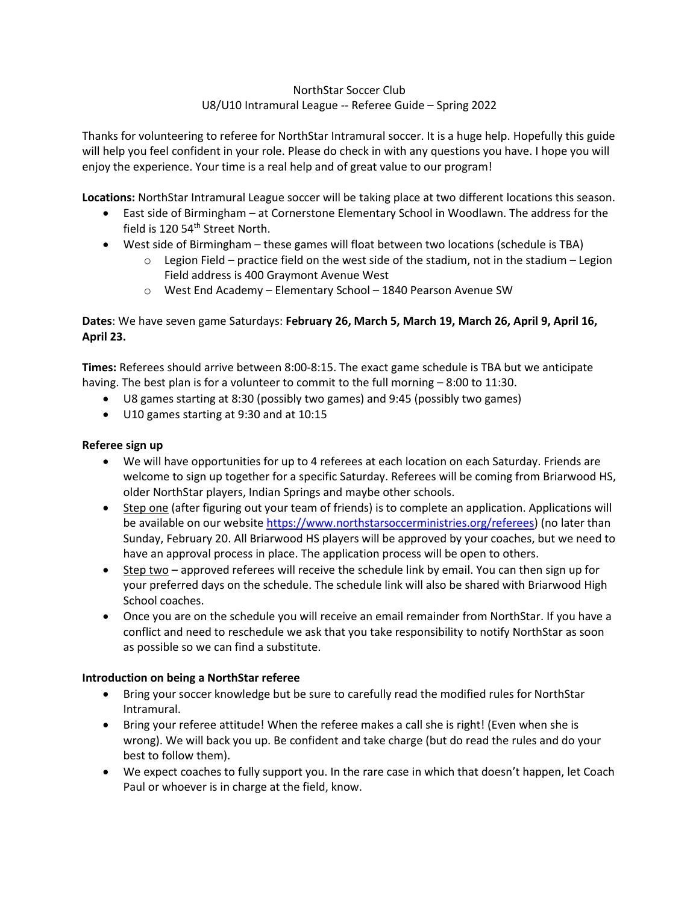## NorthStar Soccer Club U8/U10 Intramural League -- Referee Guide – Spring 2022

Thanks for volunteering to referee for NorthStar Intramural soccer. It is a huge help. Hopefully this guide will help you feel confident in your role. Please do check in with any questions you have. I hope you will enjoy the experience. Your time is a real help and of great value to our program!

**Locations:** NorthStar Intramural League soccer will be taking place at two different locations this season.

- East side of Birmingham at Cornerstone Elementary School in Woodlawn. The address for the field is 120 54<sup>th</sup> Street North.
- West side of Birmingham these games will float between two locations (schedule is TBA)
	- $\circ$  Legion Field practice field on the west side of the stadium, not in the stadium Legion Field address is 400 Graymont Avenue West
	- o West End Academy Elementary School 1840 Pearson Avenue SW

# **Dates**: We have seven game Saturdays: **February 26, March 5, March 19, March 26, April 9, April 16, April 23.**

**Times:** Referees should arrive between 8:00-8:15. The exact game schedule is TBA but we anticipate having. The best plan is for a volunteer to commit to the full morning - 8:00 to 11:30.

- U8 games starting at 8:30 (possibly two games) and 9:45 (possibly two games)
- U10 games starting at 9:30 and at 10:15

#### **Referee sign up**

- We will have opportunities for up to 4 referees at each location on each Saturday. Friends are welcome to sign up together for a specific Saturday. Referees will be coming from Briarwood HS, older NorthStar players, Indian Springs and maybe other schools.
- Step one (after figuring out your team of friends) is to complete an application. Applications will be available on our websit[e https://www.northstarsoccerministries.org/referees\)](https://www.northstarsoccerministries.org/referees) (no later than Sunday, February 20. All Briarwood HS players will be approved by your coaches, but we need to have an approval process in place. The application process will be open to others.
- Step two approved referees will receive the schedule link by email. You can then sign up for your preferred days on the schedule. The schedule link will also be shared with Briarwood High School coaches.
- Once you are on the schedule you will receive an email remainder from NorthStar. If you have a conflict and need to reschedule we ask that you take responsibility to notify NorthStar as soon as possible so we can find a substitute.

#### **Introduction on being a NorthStar referee**

- Bring your soccer knowledge but be sure to carefully read the modified rules for NorthStar Intramural.
- Bring your referee attitude! When the referee makes a call she is right! (Even when she is wrong). We will back you up. Be confident and take charge (but do read the rules and do your best to follow them).
- We expect coaches to fully support you. In the rare case in which that doesn't happen, let Coach Paul or whoever is in charge at the field, know.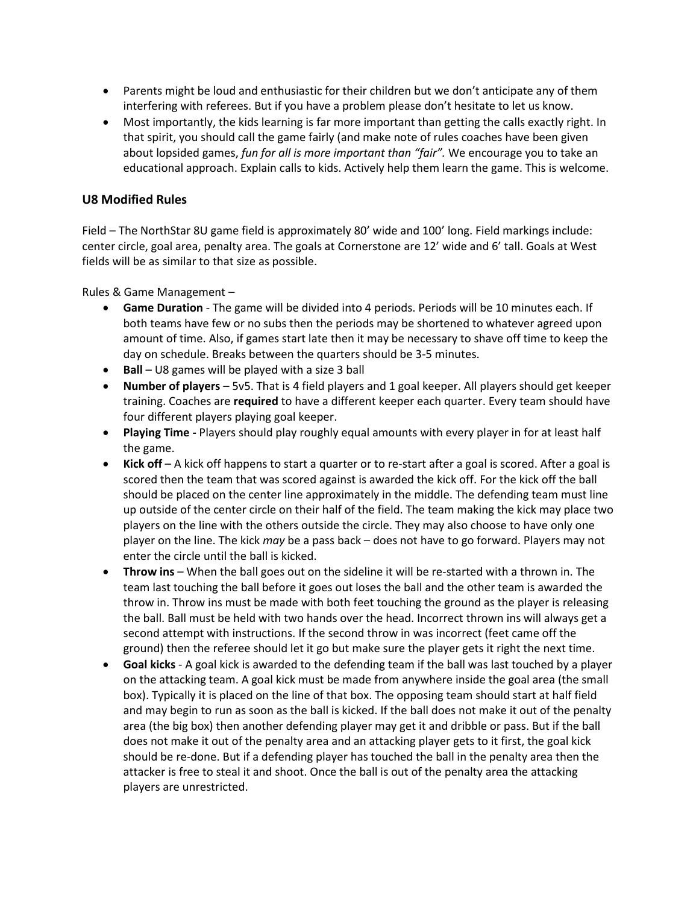- Parents might be loud and enthusiastic for their children but we don't anticipate any of them interfering with referees. But if you have a problem please don't hesitate to let us know.
- Most importantly, the kids learning is far more important than getting the calls exactly right. In that spirit, you should call the game fairly (and make note of rules coaches have been given about lopsided games, *fun for all is more important than "fair".* We encourage you to take an educational approach. Explain calls to kids. Actively help them learn the game. This is welcome.

### **U8 Modified Rules**

Field – The NorthStar 8U game field is approximately 80' wide and 100' long. Field markings include: center circle, goal area, penalty area. The goals at Cornerstone are 12' wide and 6' tall. Goals at West fields will be as similar to that size as possible.

Rules & Game Management –

- **Game Duration** The game will be divided into 4 periods. Periods will be 10 minutes each. If both teams have few or no subs then the periods may be shortened to whatever agreed upon amount of time. Also, if games start late then it may be necessary to shave off time to keep the day on schedule. Breaks between the quarters should be 3-5 minutes.
- **Ball** U8 games will be played with a size 3 ball
- **Number of players** 5v5. That is 4 field players and 1 goal keeper. All players should get keeper training. Coaches are **required** to have a different keeper each quarter. Every team should have four different players playing goal keeper.
- **Playing Time -** Players should play roughly equal amounts with every player in for at least half the game.
- **Kick off** A kick off happens to start a quarter or to re-start after a goal is scored. After a goal is scored then the team that was scored against is awarded the kick off. For the kick off the ball should be placed on the center line approximately in the middle. The defending team must line up outside of the center circle on their half of the field. The team making the kick may place two players on the line with the others outside the circle. They may also choose to have only one player on the line. The kick *may* be a pass back – does not have to go forward. Players may not enter the circle until the ball is kicked.
- **Throw ins** When the ball goes out on the sideline it will be re-started with a thrown in. The team last touching the ball before it goes out loses the ball and the other team is awarded the throw in. Throw ins must be made with both feet touching the ground as the player is releasing the ball. Ball must be held with two hands over the head. Incorrect thrown ins will always get a second attempt with instructions. If the second throw in was incorrect (feet came off the ground) then the referee should let it go but make sure the player gets it right the next time.
- **Goal kicks** A goal kick is awarded to the defending team if the ball was last touched by a player on the attacking team. A goal kick must be made from anywhere inside the goal area (the small box). Typically it is placed on the line of that box. The opposing team should start at half field and may begin to run as soon as the ball is kicked. If the ball does not make it out of the penalty area (the big box) then another defending player may get it and dribble or pass. But if the ball does not make it out of the penalty area and an attacking player gets to it first, the goal kick should be re-done. But if a defending player has touched the ball in the penalty area then the attacker is free to steal it and shoot. Once the ball is out of the penalty area the attacking players are unrestricted.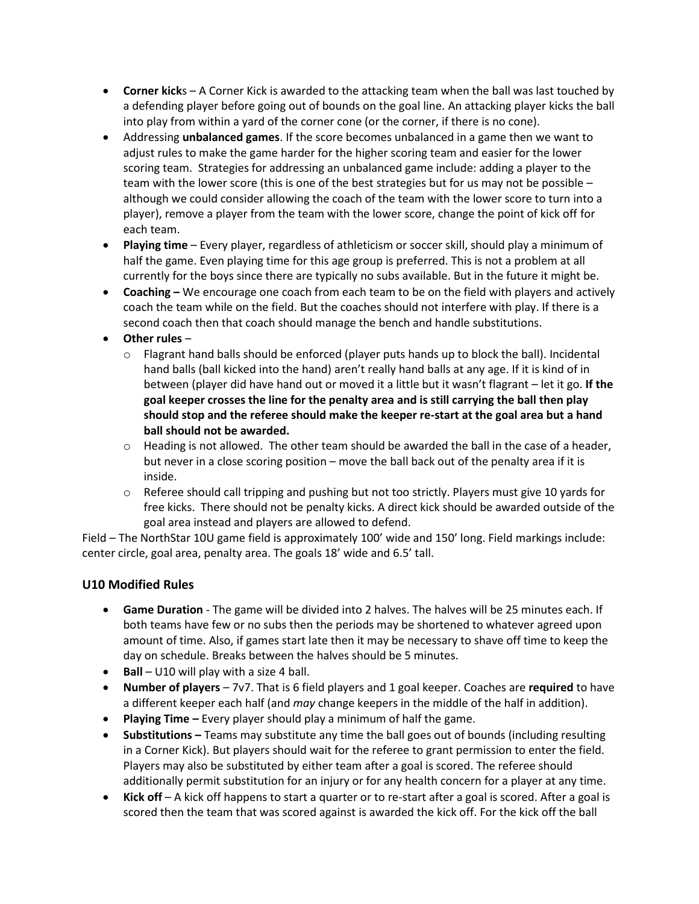- **Corner kick**s A Corner Kick is awarded to the attacking team when the ball was last touched by a defending player before going out of bounds on the goal line. An attacking player kicks the ball into play from within a yard of the corner cone (or the corner, if there is no cone).
- Addressing **unbalanced games**. If the score becomes unbalanced in a game then we want to adjust rules to make the game harder for the higher scoring team and easier for the lower scoring team. Strategies for addressing an unbalanced game include: adding a player to the team with the lower score (this is one of the best strategies but for us may not be possible – although we could consider allowing the coach of the team with the lower score to turn into a player), remove a player from the team with the lower score, change the point of kick off for each team.
- **Playing time** Every player, regardless of athleticism or soccer skill, should play a minimum of half the game. Even playing time for this age group is preferred. This is not a problem at all currently for the boys since there are typically no subs available. But in the future it might be.
- **Coaching –** We encourage one coach from each team to be on the field with players and actively coach the team while on the field. But the coaches should not interfere with play. If there is a second coach then that coach should manage the bench and handle substitutions.
- **Other rules**
	- $\circ$  Flagrant hand balls should be enforced (player puts hands up to block the ball). Incidental hand balls (ball kicked into the hand) aren't really hand balls at any age. If it is kind of in between (player did have hand out or moved it a little but it wasn't flagrant – let it go. **If the goal keeper crosses the line for the penalty area and is still carrying the ball then play should stop and the referee should make the keeper re-start at the goal area but a hand ball should not be awarded.**
	- $\circ$  Heading is not allowed. The other team should be awarded the ball in the case of a header, but never in a close scoring position – move the ball back out of the penalty area if it is inside.
	- $\circ$  Referee should call tripping and pushing but not too strictly. Players must give 10 yards for free kicks. There should not be penalty kicks. A direct kick should be awarded outside of the goal area instead and players are allowed to defend.

Field – The NorthStar 10U game field is approximately 100' wide and 150' long. Field markings include: center circle, goal area, penalty area. The goals 18' wide and 6.5' tall.

# **U10 Modified Rules**

- **Game Duration** The game will be divided into 2 halves. The halves will be 25 minutes each. If both teams have few or no subs then the periods may be shortened to whatever agreed upon amount of time. Also, if games start late then it may be necessary to shave off time to keep the day on schedule. Breaks between the halves should be 5 minutes.
- **Ball** U10 will play with a size 4 ball.
- **Number of players** 7v7. That is 6 field players and 1 goal keeper. Coaches are **required** to have a different keeper each half (and *may* change keepers in the middle of the half in addition).
- **Playing Time –** Every player should play a minimum of half the game.
- **Substitutions –** Teams may substitute any time the ball goes out of bounds (including resulting in a Corner Kick). But players should wait for the referee to grant permission to enter the field. Players may also be substituted by either team after a goal is scored. The referee should additionally permit substitution for an injury or for any health concern for a player at any time.
- **Kick off** A kick off happens to start a quarter or to re-start after a goal is scored. After a goal is scored then the team that was scored against is awarded the kick off. For the kick off the ball